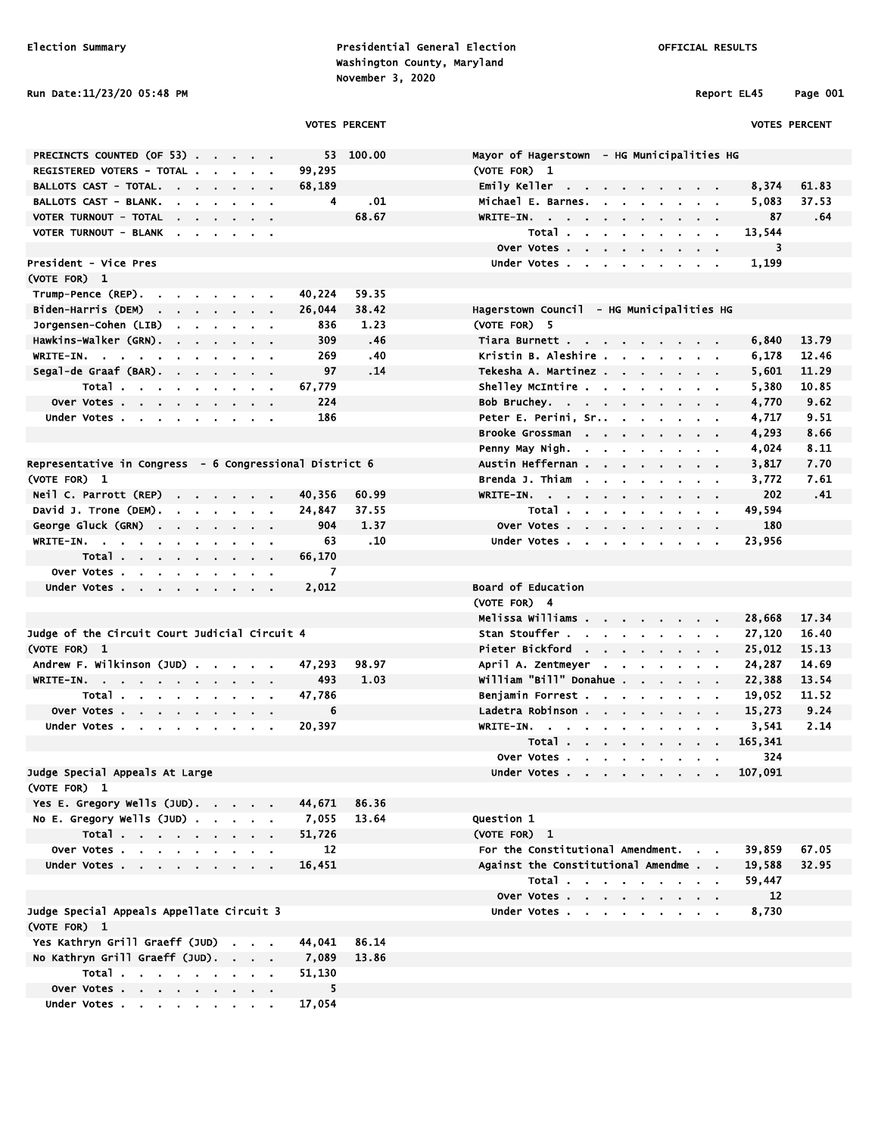Election Summary Presidential General Election OFFICIAL RESULTS Washington County, Maryland November 3, 2020

## Run Date:11/23/20 05:48 PM Report EL45 Page 001

|                                                         | <b>VOTES PERCENT</b> |           |                                            |         | <b>VOTES PERCENT</b> |
|---------------------------------------------------------|----------------------|-----------|--------------------------------------------|---------|----------------------|
| PRECINCTS COUNTED (OF 53)                               |                      | 53 100.00 | Mayor of Hagerstown - HG Municipalities HG |         |                      |
| REGISTERED VOTERS - TOTAL                               | 99,295               |           | (VOTE FOR) 1                               |         |                      |
| BALLOTS CAST - TOTAL.                                   | 68,189               |           | Emily Keller                               | 8,374   | 61.83                |
| BALLOTS CAST - BLANK.                                   | 4                    | .01       | Michael E. Barnes.                         | 5,083   | 37.53                |
| VOTER TURNOUT - TOTAL                                   |                      | 68.67     | WRITE-IN.                                  | 87      | .64                  |
| VOTER TURNOUT - BLANK                                   |                      |           | Total                                      | 13,544  |                      |
|                                                         |                      |           | Over Votes                                 | 3       |                      |
| President - Vice Pres                                   |                      |           | Under Votes                                | 1,199   |                      |
| (VOTE FOR) 1                                            |                      |           |                                            |         |                      |
| Trump-Pence (REP).                                      | 40,224               | 59.35     |                                            |         |                      |
| Biden-Harris (DEM)                                      | 26,044               | 38.42     | Hagerstown Council - HG Municipalities HG  |         |                      |
| Jorgensen-Cohen (LIB)                                   | 836                  | 1.23      | (VOTE FOR) 5                               |         |                      |
| Hawkins-Walker (GRN).                                   | 309                  | .46       | Tiara Burnett                              | 6,840   | 13.79                |
| WRITE-IN.                                               | 269                  | .40       | Kristin B. Aleshire                        | 6,178   | 12.46                |
| Segal-de Graaf (BAR).                                   | 97                   | .14       | Tekesha A. Martinez                        | 5,601   | 11.29                |
| Total                                                   | 67,779               |           | Shelley McIntire                           | 5,380   | 10.85                |
| Over Votes                                              | 224                  |           | Bob Bruchey.                               | 4,770   | 9.62                 |
| Under Votes                                             | 186                  |           |                                            | 4,717   | 9.51                 |
|                                                         |                      |           | Brooke Grossman                            | 4,293   | 8.66                 |
|                                                         |                      |           | Penny May Nigh.                            | 4,024   | 8.11                 |
| Representative in Congress - 6 Congressional District 6 |                      |           | Austin Heffernan                           | 3,817   | 7.70                 |
| (VOTE FOR) 1                                            |                      |           | Brenda J. Thiam                            | 3,772   | 7.61                 |
| Neil C. Parrott (REP)                                   | 40,356               | 60.99     | WRITE-IN.                                  | 202     | .41                  |
| David J. Trone (DEM).                                   | 24,847               | 37.55     | Total                                      | 49,594  |                      |
| George Gluck (GRN)                                      | 904                  | 1.37      | Over Votes                                 | 180     |                      |
| WRITE-IN.                                               | 63.                  | .10       | Under Votes                                | 23,956  |                      |
| Total                                                   | 66,170               |           |                                            |         |                      |
| Over Votes                                              | 7                    |           |                                            |         |                      |
| Under Votes                                             | 2,012                |           | Board of Education                         |         |                      |
|                                                         |                      |           | (VOTE FOR) 4                               |         |                      |
|                                                         |                      |           | Melissa Williams                           | 28,668  | 17.34                |
| Judge of the Circuit Court Judicial Circuit 4           |                      |           | Stan Stouffer                              | 27,120  | 16.40                |
| (VOTE FOR) 1                                            |                      |           | Pieter Bickford                            | 25,012  | 15.13                |
| Andrew F. Wilkinson (JUD)                               | 47,293               | 98.97     | April A. Zentmeyer                         | 24,287  | 14.69                |
| WRITE-IN.                                               | 493                  | 1.03      | William "Bill" Donahue                     | 22,388  | 13.54                |
| Total                                                   | 47,786               |           | Benjamin Forrest                           | 19,052  | 11.52                |
| Over Votes                                              | 6                    |           | Ladetra Robinson                           | 15,273  | 9.24                 |
| Under Votes                                             | 20,397               |           | WRITE-IN.                                  | 3,541   | 2.14                 |
|                                                         |                      |           | Total                                      | 165,341 |                      |
|                                                         |                      |           | Over Votes                                 | 324     |                      |
| Judge Special Appeals At Large                          |                      |           | Under Votes                                | 107,091 |                      |
| (VOTE FOR) 1                                            |                      |           |                                            |         |                      |
| Yes E. Gregory Wells (JUD).                             | 44,671               | 86.36     |                                            |         |                      |
| No E. Gregory Wells (JUD)                               | 7,055                | 13.64     | Question 1                                 |         |                      |
| Total                                                   | 51,726               |           | (VOTE FOR) 1                               |         |                      |
| Over Votes                                              | 12                   |           | For the Constitutional Amendment.          | 39,859  | 67.05                |
| Under Votes                                             | 16,451               |           | Against the Constitutional Amendme         | 19,588  | 32.95                |
|                                                         |                      |           | Total                                      | 59,447  |                      |
|                                                         |                      |           | Over Votes                                 | 12      |                      |
| Judge Special Appeals Appellate Circuit 3               |                      |           | Under Votes                                | 8,730   |                      |
| (VOTE FOR) 1                                            |                      |           |                                            |         |                      |
| Yes Kathryn Grill Graeff (JUD)                          | 44,041               | 86.14     |                                            |         |                      |
| No Kathryn Grill Graeff (JUD).                          | 7,089                | 13.86     |                                            |         |                      |
| Total                                                   | 51,130               |           |                                            |         |                      |
| Over Votes                                              | 5                    |           |                                            |         |                      |
| Under Votes                                             | 17,054               |           |                                            |         |                      |
|                                                         |                      |           |                                            |         |                      |
|                                                         |                      |           |                                            |         |                      |